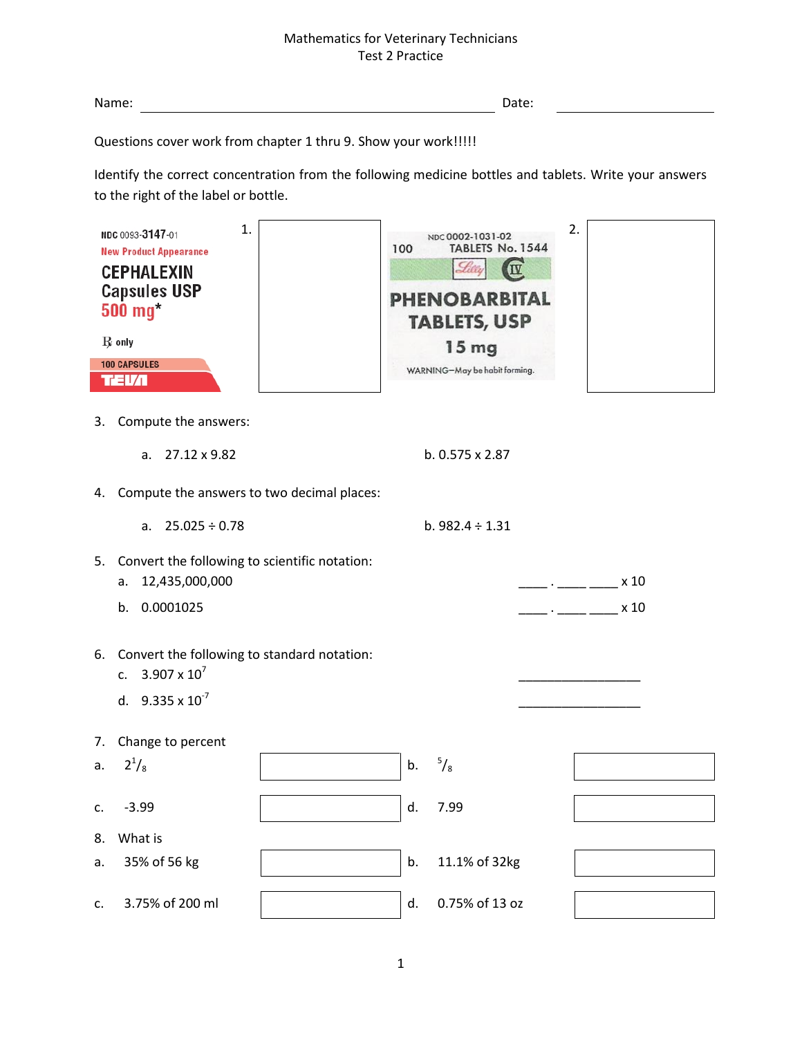| Name: | ,,,,,<br>Date: |  |
|-------|----------------|--|
|       |                |  |

Questions cover work from chapter 1 thru 9. Show your work!!!!!

Identify the correct concentration from the following medicine bottles and tablets. Write your answers to the right of the label or bottle.

| 1.<br>NDC 0093-3147-01<br><b>New Product Appearance</b><br><b>CEPHALEXIN</b><br><b>Capsules USP</b><br>$500$ mg $3$<br>$\mathbf R$ only<br><b>100 CAPSULES</b><br><b>TEV</b> 1 |                                                                                          | NDC 0002-1031-02<br>TABLETS No. 1544<br>100<br>IV<br><b>PHENOBARBITAL</b><br><b>TABLETS, USP</b><br>15 mg<br>WARNING-May be habit forming. |    |                      | 2.                       |              |
|--------------------------------------------------------------------------------------------------------------------------------------------------------------------------------|------------------------------------------------------------------------------------------|--------------------------------------------------------------------------------------------------------------------------------------------|----|----------------------|--------------------------|--------------|
| 3.                                                                                                                                                                             | Compute the answers:                                                                     |                                                                                                                                            |    |                      |                          |              |
|                                                                                                                                                                                | 27.12 x 9.82<br>a.                                                                       |                                                                                                                                            |    | b. 0.575 x 2.87      |                          |              |
|                                                                                                                                                                                | 4. Compute the answers to two decimal places:                                            |                                                                                                                                            |    |                      |                          |              |
|                                                                                                                                                                                | $25.025 \div 0.78$<br>a.                                                                 |                                                                                                                                            |    | b. $982.4 \div 1.31$ |                          |              |
| 5.                                                                                                                                                                             | Convert the following to scientific notation:<br>12,435,000,000<br>a.<br>0.0001025<br>b. |                                                                                                                                            |    |                      | <b>Contract Contract</b> | x 10<br>x 10 |
| Convert the following to standard notation:<br>6.<br>$3.907 \times 10^{7}$<br>c.<br>d. $9.335 \times 10^{-7}$                                                                  |                                                                                          |                                                                                                                                            |    |                      |                          |              |
| 7.                                                                                                                                                                             | Change to percent                                                                        |                                                                                                                                            |    |                      |                          |              |
| a.                                                                                                                                                                             | $2^{1}/_{8}$                                                                             |                                                                                                                                            | b. | $\frac{5}{8}$        |                          |              |
| c.                                                                                                                                                                             | $-3.99$                                                                                  |                                                                                                                                            | d. | 7.99                 |                          |              |
| 8.                                                                                                                                                                             | What is                                                                                  |                                                                                                                                            |    |                      |                          |              |
| a.                                                                                                                                                                             | 35% of 56 kg                                                                             |                                                                                                                                            | b. | 11.1% of 32kg        |                          |              |
| c.                                                                                                                                                                             | 3.75% of 200 ml                                                                          |                                                                                                                                            | d. | 0.75% of 13 oz       |                          |              |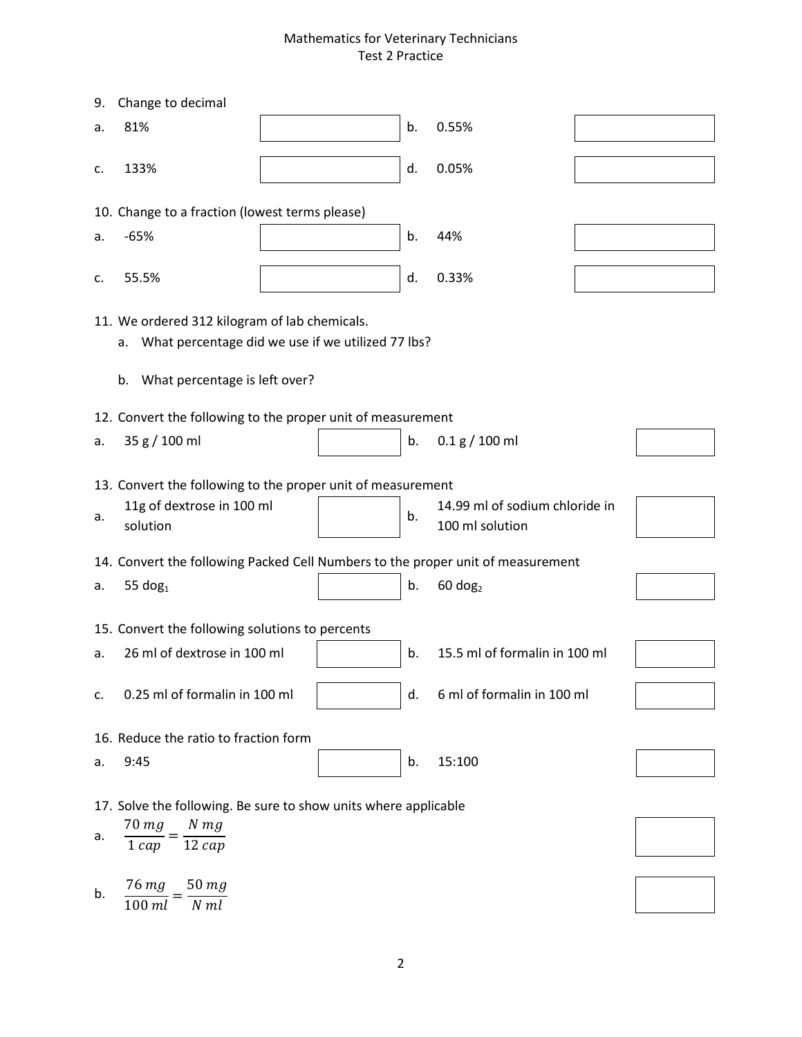| 9.                                                                                                                                              | Change to decimal                                                                                                                                               |  |    |                               |  |  |
|-------------------------------------------------------------------------------------------------------------------------------------------------|-----------------------------------------------------------------------------------------------------------------------------------------------------------------|--|----|-------------------------------|--|--|
| a.                                                                                                                                              | 81%                                                                                                                                                             |  | b. | 0.55%                         |  |  |
| c.                                                                                                                                              | 133%                                                                                                                                                            |  | d. | 0.05%                         |  |  |
|                                                                                                                                                 | 10. Change to a fraction (lowest terms please)                                                                                                                  |  |    |                               |  |  |
| a.                                                                                                                                              | $-65%$                                                                                                                                                          |  | b. | 44%                           |  |  |
| c.                                                                                                                                              | 55.5%                                                                                                                                                           |  | d. | 0.33%                         |  |  |
| 11. We ordered 312 kilogram of lab chemicals.<br>What percentage did we use if we utilized 77 lbs?<br>a.<br>What percentage is left over?<br>b. |                                                                                                                                                                 |  |    |                               |  |  |
|                                                                                                                                                 | 12. Convert the following to the proper unit of measurement                                                                                                     |  |    |                               |  |  |
| а.                                                                                                                                              | 35 g / 100 ml                                                                                                                                                   |  | b. | 0.1 g / 100 ml                |  |  |
| а.                                                                                                                                              | 13. Convert the following to the proper unit of measurement<br>11g of dextrose in 100 ml<br>14.99 ml of sodium chloride in<br>b.<br>solution<br>100 ml solution |  |    |                               |  |  |
|                                                                                                                                                 | 14. Convert the following Packed Cell Numbers to the proper unit of measurement                                                                                 |  |    |                               |  |  |
| а.                                                                                                                                              | 55 $dog1$                                                                                                                                                       |  | b. | $60$ dog <sub>2</sub>         |  |  |
|                                                                                                                                                 | 15. Convert the following solutions to percents                                                                                                                 |  |    |                               |  |  |
| a.                                                                                                                                              | 26 ml of dextrose in 100 ml                                                                                                                                     |  | b. | 15.5 ml of formalin in 100 ml |  |  |
| c.                                                                                                                                              | 0.25 ml of formalin in 100 ml                                                                                                                                   |  | d. | 6 ml of formalin in 100 ml    |  |  |
| 16. Reduce the ratio to fraction form                                                                                                           |                                                                                                                                                                 |  |    |                               |  |  |
| a.                                                                                                                                              | 9:45                                                                                                                                                            |  | b. | 15:100                        |  |  |
| а.                                                                                                                                              | 17. Solve the following. Be sure to show units where applicable<br>$70$ $mg$<br>$N$ $mg$<br>$12 \, cap$<br>$1 \, cap$                                           |  |    |                               |  |  |
| b.                                                                                                                                              | 76 mg<br>$50$ $mg$<br>$N$ $ml$<br>$100$ $ml$                                                                                                                    |  |    |                               |  |  |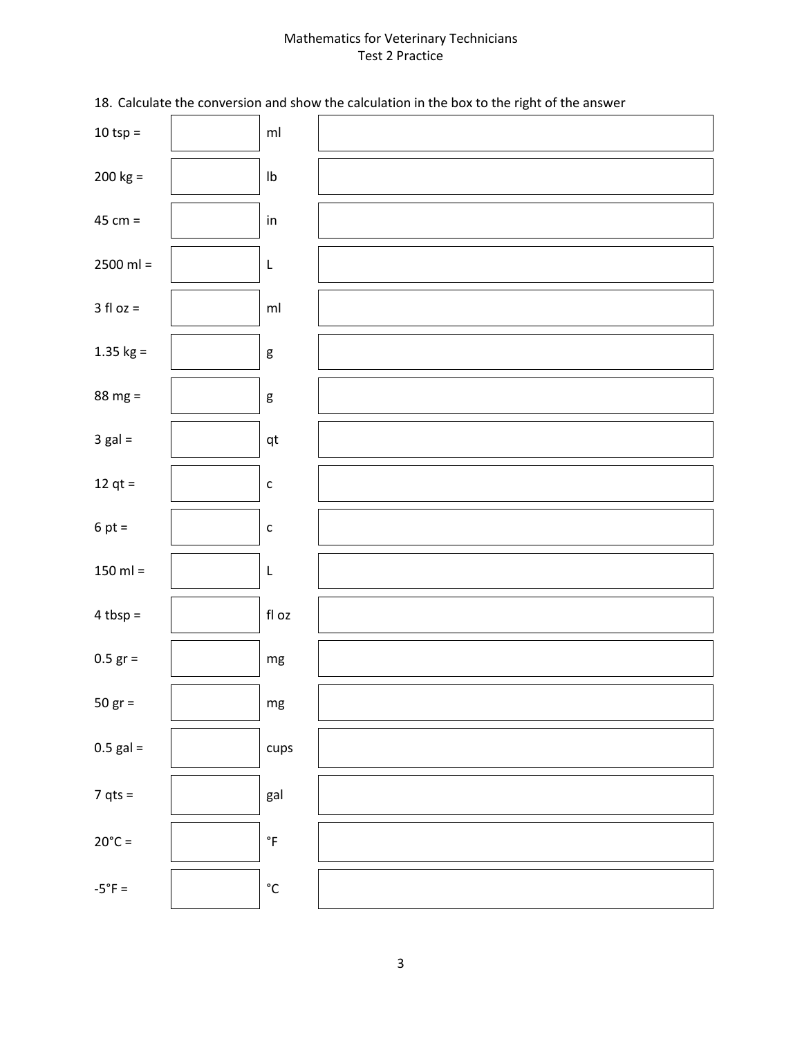18. Calculate the conversion and show the calculation in the box to the right of the answer

| $10$ tsp =       | $\mathsf{m}\mathsf{l}$     |  |
|------------------|----------------------------|--|
| $200 kg =$       | ${\sf lb}$                 |  |
| $45 cm =$        | $\mathsf{in}$              |  |
| $2500$ ml =      | L                          |  |
| $3$ fl oz =      | $\mathsf{m}\mathsf{l}$     |  |
| 1.35 $kg =$      | ${\sf g}$                  |  |
| $88 mg =$        | $\mathsf g$                |  |
| $3$ gal =        | $\mathsf{qt}$              |  |
| 12 qt $=$        | $\mathsf{C}$               |  |
| $6 pt =$         | $\mathsf{C}$               |  |
| $150$ ml =       | L                          |  |
| $4 tbsp =$       | $\operatorname{\sf fl}$ oz |  |
| $0.5$ gr =       | $\mathsf{mg}$              |  |
| $50 gr =$        | mg                         |  |
| $0.5$ gal =      | cups                       |  |
| $7 qts =$        | gal                        |  |
| $20^{\circ}$ C = | $^\circ \mathsf{F}$        |  |
| $-5^{\circ}F =$  | $^{\circ}{\rm C}$          |  |